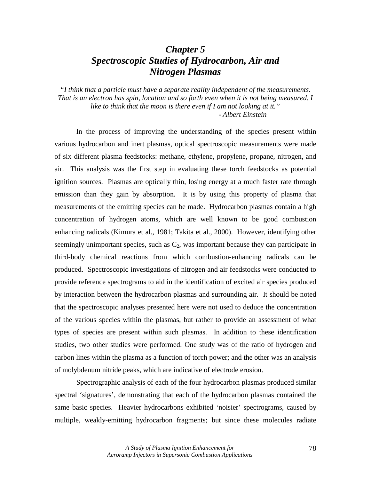# *Chapter 5 Spectroscopic Studies of Hydrocarbon, Air and Nitrogen Plasmas*

*"I think that a particle must have a separate reality independent of the measurements. That is an electron has spin, location and so forth even when it is not being measured. I like to think that the moon is there even if I am not looking at it." - Albert Einstein* 

 In the process of improving the understanding of the species present within various hydrocarbon and inert plasmas, optical spectroscopic measurements were made of six different plasma feedstocks: methane, ethylene, propylene, propane, nitrogen, and air. This analysis was the first step in evaluating these torch feedstocks as potential ignition sources. Plasmas are optically thin, losing energy at a much faster rate through emission than they gain by absorption. It is by using this property of plasma that measurements of the emitting species can be made. Hydrocarbon plasmas contain a high concentration of hydrogen atoms, which are well known to be good combustion enhancing radicals (Kimura et al., 1981; Takita et al., 2000). However, identifying other seemingly unimportant species, such as  $C_2$ , was important because they can participate in third-body chemical reactions from which combustion-enhancing radicals can be produced. Spectroscopic investigations of nitrogen and air feedstocks were conducted to provide reference spectrograms to aid in the identification of excited air species produced by interaction between the hydrocarbon plasmas and surrounding air. It should be noted that the spectroscopic analyses presented here were not used to deduce the concentration of the various species within the plasmas, but rather to provide an assessment of what types of species are present within such plasmas. In addition to these identification studies, two other studies were performed. One study was of the ratio of hydrogen and carbon lines within the plasma as a function of torch power; and the other was an analysis of molybdenum nitride peaks, which are indicative of electrode erosion.

 Spectrographic analysis of each of the four hydrocarbon plasmas produced similar spectral 'signatures', demonstrating that each of the hydrocarbon plasmas contained the same basic species. Heavier hydrocarbons exhibited 'noisier' spectrograms, caused by multiple, weakly-emitting hydrocarbon fragments; but since these molecules radiate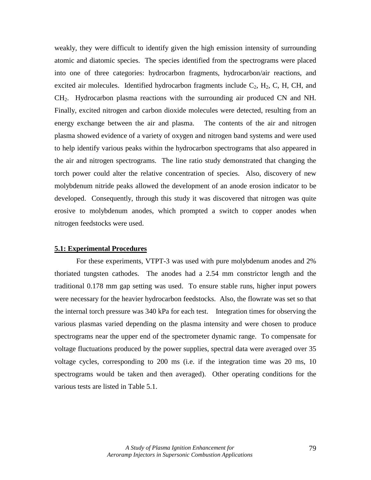weakly, they were difficult to identify given the high emission intensity of surrounding atomic and diatomic species. The species identified from the spectrograms were placed into one of three categories: hydrocarbon fragments, hydrocarbon/air reactions, and excited air molecules. Identified hydrocarbon fragments include  $C_2$ ,  $H_2$ , C, H, CH, and CH2. Hydrocarbon plasma reactions with the surrounding air produced CN and NH. Finally, excited nitrogen and carbon dioxide molecules were detected, resulting from an energy exchange between the air and plasma. The contents of the air and nitrogen plasma showed evidence of a variety of oxygen and nitrogen band systems and were used to help identify various peaks within the hydrocarbon spectrograms that also appeared in the air and nitrogen spectrograms. The line ratio study demonstrated that changing the torch power could alter the relative concentration of species. Also, discovery of new molybdenum nitride peaks allowed the development of an anode erosion indicator to be developed. Consequently, through this study it was discovered that nitrogen was quite erosive to molybdenum anodes, which prompted a switch to copper anodes when nitrogen feedstocks were used.

#### **5.1: Experimental Procedures**

 For these experiments, VTPT-3 was used with pure molybdenum anodes and 2% thoriated tungsten cathodes. The anodes had a 2.54 mm constrictor length and the traditional 0.178 mm gap setting was used. To ensure stable runs, higher input powers were necessary for the heavier hydrocarbon feedstocks. Also, the flowrate was set so that the internal torch pressure was 340 kPa for each test. Integration times for observing the various plasmas varied depending on the plasma intensity and were chosen to produce spectrograms near the upper end of the spectrometer dynamic range. To compensate for voltage fluctuations produced by the power supplies, spectral data were averaged over 35 voltage cycles, corresponding to 200 ms (i.e. if the integration time was 20 ms, 10 spectrograms would be taken and then averaged). Other operating conditions for the various tests are listed in Table 5.1.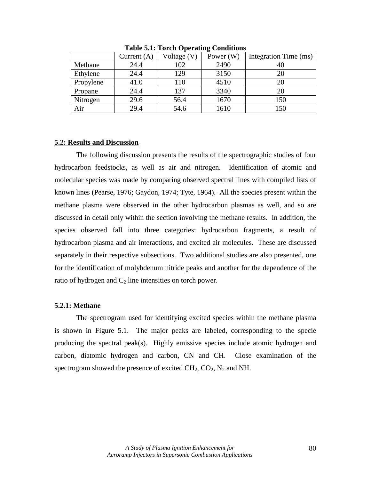|           | Current $(A)$ | Voltage (V) | Power $(W)$ | Integration Time (ms) |
|-----------|---------------|-------------|-------------|-----------------------|
| Methane   | 24.4          | 102         | 2490        | 40                    |
| Ethylene  | 24.4          | 129         | 3150        | 20                    |
| Propylene | 41.0          | 110         | 4510        | 20                    |
| Propane   | 24.4          | 137         | 3340        | 20                    |
| Nitrogen  | 29.6          | 56.4        | 1670        | 150                   |
| Air       | 29.4          | 54.6        | 1610        | 150                   |

**Table 5.1: Torch Operating Conditions** 

#### **5.2: Results and Discussion**

 The following discussion presents the results of the spectrographic studies of four hydrocarbon feedstocks, as well as air and nitrogen. Identification of atomic and molecular species was made by comparing observed spectral lines with compiled lists of known lines (Pearse, 1976; Gaydon, 1974; Tyte, 1964). All the species present within the methane plasma were observed in the other hydrocarbon plasmas as well, and so are discussed in detail only within the section involving the methane results. In addition, the species observed fall into three categories: hydrocarbon fragments, a result of hydrocarbon plasma and air interactions, and excited air molecules. These are discussed separately in their respective subsections. Two additional studies are also presented, one for the identification of molybdenum nitride peaks and another for the dependence of the ratio of hydrogen and  $C_2$  line intensities on torch power.

#### **5.2.1: Methane**

 The spectrogram used for identifying excited species within the methane plasma is shown in Figure 5.1. The major peaks are labeled, corresponding to the specie producing the spectral peak(s). Highly emissive species include atomic hydrogen and carbon, diatomic hydrogen and carbon, CN and CH. Close examination of the spectrogram showed the presence of excited  $CH_2$ ,  $CO_2$ ,  $N_2$  and NH.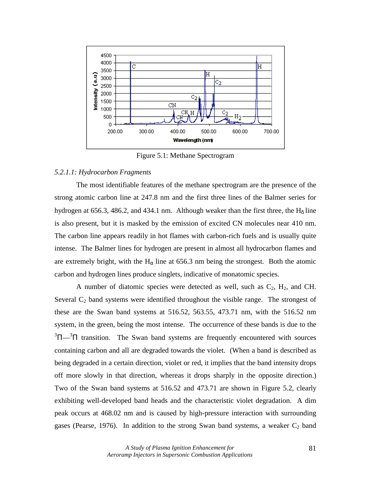

Figure 5.1: Methane Spectrogram

#### *5.2.1.1: Hydrocarbon Fragments*

The most identifiable features of the methane spectrogram are the presence of the strong atomic carbon line at 247.8 nm and the first three lines of the Balmer series for hydrogen at 656.3, 486.2, and 434.1 nm. Although weaker than the first three, the  $H_{\delta}$  line is also present, but it is masked by the emission of excited CN molecules near 410 nm. The carbon line appears readily in hot flames with carbon-rich fuels and is usually quite intense. The Balmer lines for hydrogen are present in almost all hydrocarbon flames and are extremely bright, with the H<sub> $\alpha$ </sub> line at 656.3 nm being the strongest. Both the atomic carbon and hydrogen lines produce singlets, indicative of monatomic species.

A number of diatomic species were detected as well, such as  $C_2$ ,  $H_2$ , and CH. Several  $C_2$  band systems were identified throughout the visible range. The strongest of these are the Swan band systems at 516.52, 563.55, 473.71 nm, with the 516.52 nm system, in the green, being the most intense. The occurrence of these bands is due to the  $3\Pi$ <sup>3</sup> $\Pi$  transition. The Swan band systems are frequently encountered with sources containing carbon and all are degraded towards the violet. (When a band is described as being degraded in a certain direction, violet or red, it implies that the band intensity drops off more slowly in that direction, whereas it drops sharply in the opposite direction.) Two of the Swan band systems at 516.52 and 473.71 are shown in Figure 5.2, clearly exhibiting well-developed band heads and the characteristic violet degradation. A dim peak occurs at 468.02 nm and is caused by high-pressure interaction with surrounding gases (Pearse, 1976). In addition to the strong Swan band systems, a weaker  $C_2$  band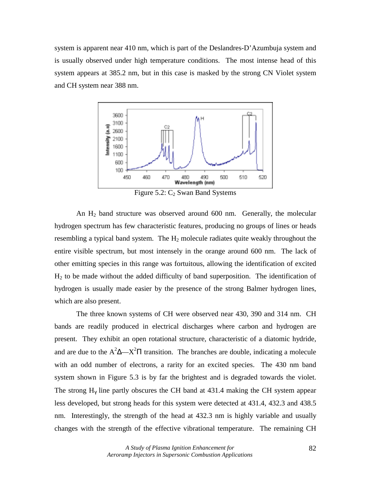system is apparent near 410 nm, which is part of the Deslandres-D'Azumbuja system and is usually observed under high temperature conditions. The most intense head of this system appears at 385.2 nm, but in this case is masked by the strong CN Violet system and CH system near 388 nm.



Figure 5.2:  $C_2$  Swan Band Systems

An H2 band structure was observed around 600 nm. Generally, the molecular hydrogen spectrum has few characteristic features, producing no groups of lines or heads resembling a typical band system. The  $H_2$  molecule radiates quite weakly throughout the entire visible spectrum, but most intensely in the orange around 600 nm. The lack of other emitting species in this range was fortuitous, allowing the identification of excited  $H<sub>2</sub>$  to be made without the added difficulty of band superposition. The identification of hydrogen is usually made easier by the presence of the strong Balmer hydrogen lines, which are also present.

The three known systems of CH were observed near 430, 390 and 314 nm. CH bands are readily produced in electrical discharges where carbon and hydrogen are present. They exhibit an open rotational structure, characteristic of a diatomic hydride, and are due to the  $A^2\Delta$ — $X^2\Pi$  transition. The branches are double, indicating a molecule with an odd number of electrons, a rarity for an excited species. The 430 nm band system shown in Figure 5.3 is by far the brightest and is degraded towards the violet. The strong  $H<sub>y</sub>$  line partly obscures the CH band at 431.4 making the CH system appear less developed, but strong heads for this system were detected at 431.4, 432.3 and 438.5 nm. Interestingly, the strength of the head at 432.3 nm is highly variable and usually changes with the strength of the effective vibrational temperature. The remaining CH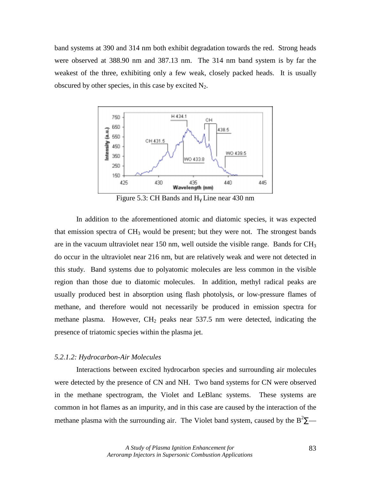band systems at 390 and 314 nm both exhibit degradation towards the red. Strong heads were observed at 388.90 nm and 387.13 nm. The 314 nm band system is by far the weakest of the three, exhibiting only a few weak, closely packed heads. It is usually obscured by other species, in this case by excited  $N_2$ .



Figure 5.3: CH Bands and  $H_v$  Line near 430 nm

In addition to the aforementioned atomic and diatomic species, it was expected that emission spectra of  $CH_3$  would be present; but they were not. The strongest bands are in the vacuum ultraviolet near 150 nm, well outside the visible range. Bands for  $CH<sub>3</sub>$ do occur in the ultraviolet near 216 nm, but are relatively weak and were not detected in this study. Band systems due to polyatomic molecules are less common in the visible region than those due to diatomic molecules. In addition, methyl radical peaks are usually produced best in absorption using flash photolysis, or low-pressure flames of methane, and therefore would not necessarily be produced in emission spectra for methane plasma. However,  $CH<sub>2</sub>$  peaks near 537.5 nm were detected, indicating the presence of triatomic species within the plasma jet.

#### *5.2.1.2: Hydrocarbon-Air Molecules*

 Interactions between excited hydrocarbon species and surrounding air molecules were detected by the presence of CN and NH. Two band systems for CN were observed in the methane spectrogram, the Violet and LeBlanc systems. These systems are common in hot flames as an impurity, and in this case are caused by the interaction of the methane plasma with the surrounding air. The Violet band system, caused by the  $B^2\Sigma$ —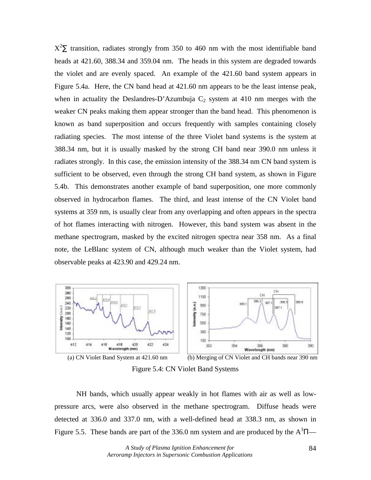$X^2\Sigma$  transition, radiates strongly from 350 to 460 nm with the most identifiable band heads at 421.60, 388.34 and 359.04 nm. The heads in this system are degraded towards the violet and are evenly spaced. An example of the 421.60 band system appears in Figure 5.4a. Here, the CN band head at 421.60 nm appears to be the least intense peak, when in actuality the Deslandres-D'Azumbuja  $C_2$  system at 410 nm merges with the weaker CN peaks making them appear stronger than the band head. This phenomenon is known as band superposition and occurs frequently with samples containing closely radiating species. The most intense of the three Violet band systems is the system at 388.34 nm, but it is usually masked by the strong CH band near 390.0 nm unless it radiates strongly. In this case, the emission intensity of the 388.34 nm CN band system is sufficient to be observed, even through the strong CH band system, as shown in Figure 5.4b. This demonstrates another example of band superposition, one more commonly observed in hydrocarbon flames. The third, and least intense of the CN Violet band systems at 359 nm, is usually clear from any overlapping and often appears in the spectra of hot flames interacting with nitrogen. However, this band system was absent in the methane spectrogram, masked by the excited nitrogen spectra near 358 nm. As a final note, the LeBlanc system of CN, although much weaker than the Violet system, had observable peaks at 423.90 and 429.24 nm.





Figure 5.4: CN Violet Band Systems

 NH bands, which usually appear weakly in hot flames with air as well as lowpressure arcs, were also observed in the methane spectrogram. Diffuse heads were detected at 336.0 and 337.0 nm, with a well-defined head at 338.3 nm, as shown in Figure 5.5. These bands are part of the 336.0 nm system and are produced by the  $A^3\Pi$ —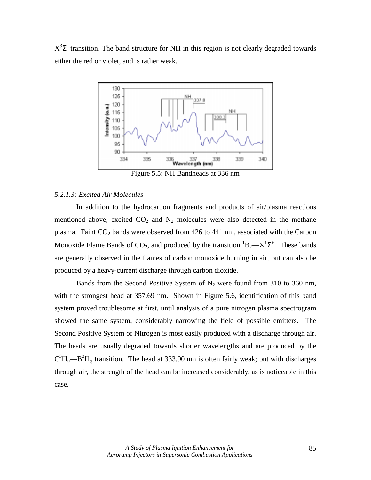$X^3\Sigma$  transition. The band structure for NH in this region is not clearly degraded towards either the red or violet, and is rather weak.



Figure 5.5: NH Bandheads at 336 nm

## *5.2.1.3: Excited Air Molecules*

In addition to the hydrocarbon fragments and products of air/plasma reactions mentioned above, excited  $CO<sub>2</sub>$  and  $N<sub>2</sub>$  molecules were also detected in the methane plasma. Faint  $CO<sub>2</sub>$  bands were observed from 426 to 441 nm, associated with the Carbon Monoxide Flame Bands of CO<sub>2</sub>, and produced by the transition  ${}^{1}B_{2}$ — $X {}^{1}\Sigma^{+}$ . These bands are generally observed in the flames of carbon monoxide burning in air, but can also be produced by a heavy-current discharge through carbon dioxide.

Bands from the Second Positive System of  $N_2$  were found from 310 to 360 nm, with the strongest head at 357.69 nm. Shown in Figure 5.6, identification of this band system proved troublesome at first, until analysis of a pure nitrogen plasma spectrogram showed the same system, considerably narrowing the field of possible emitters. The Second Positive System of Nitrogen is most easily produced with a discharge through air. The heads are usually degraded towards shorter wavelengths and are produced by the  $C^{3}\Pi_{u}$ —B<sup>3</sup> $\Pi_{g}$  transition. The head at 333.90 nm is often fairly weak; but with discharges through air, the strength of the head can be increased considerably, as is noticeable in this case.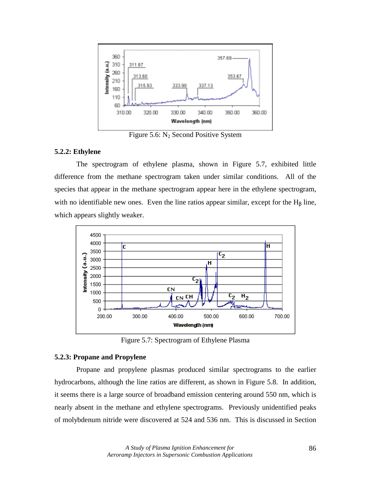

Figure 5.6:  $N_2$  Second Positive System

## **5.2.2: Ethylene**

 The spectrogram of ethylene plasma, shown in Figure 5.7, exhibited little difference from the methane spectrogram taken under similar conditions. All of the species that appear in the methane spectrogram appear here in the ethylene spectrogram, with no identifiable new ones. Even the line ratios appear similar, except for the  $H<sub>β</sub>$  line, which appears slightly weaker.



Figure 5.7: Spectrogram of Ethylene Plasma

# **5.2.3: Propane and Propylene**

 Propane and propylene plasmas produced similar spectrograms to the earlier hydrocarbons, although the line ratios are different, as shown in Figure 5.8. In addition, it seems there is a large source of broadband emission centering around 550 nm, which is nearly absent in the methane and ethylene spectrograms. Previously unidentified peaks of molybdenum nitride were discovered at 524 and 536 nm. This is discussed in Section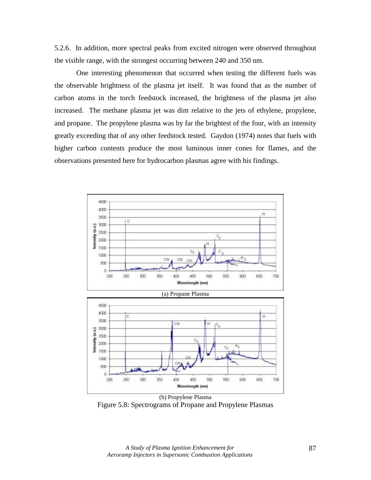5.2.6. In addition, more spectral peaks from excited nitrogen were observed throughout the visible range, with the strongest occurring between 240 and 350 nm.

One interesting phenomenon that occurred when testing the different fuels was the observable brightness of the plasma jet itself. It was found that as the number of carbon atoms in the torch feedstock increased, the brightness of the plasma jet also increased. The methane plasma jet was dim relative to the jets of ethylene, propylene, and propane. The propylene plasma was by far the brightest of the four, with an intensity greatly exceeding that of any other feedstock tested. Gaydon (1974) notes that fuels with higher carbon contents produce the most luminous inner cones for flames, and the observations presented here for hydrocarbon plasmas agree with his findings.



Figure 5.8: Spectrograms of Propane and Propylene Plasmas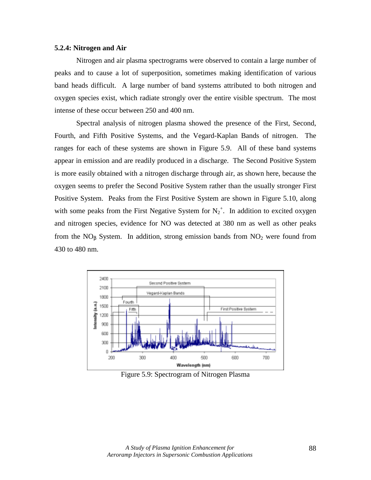### **5.2.4: Nitrogen and Air**

 Nitrogen and air plasma spectrograms were observed to contain a large number of peaks and to cause a lot of superposition, sometimes making identification of various band heads difficult. A large number of band systems attributed to both nitrogen and oxygen species exist, which radiate strongly over the entire visible spectrum. The most intense of these occur between 250 and 400 nm.

 Spectral analysis of nitrogen plasma showed the presence of the First, Second, Fourth, and Fifth Positive Systems, and the Vegard-Kaplan Bands of nitrogen. The ranges for each of these systems are shown in Figure 5.9. All of these band systems appear in emission and are readily produced in a discharge. The Second Positive System is more easily obtained with a nitrogen discharge through air, as shown here, because the oxygen seems to prefer the Second Positive System rather than the usually stronger First Positive System. Peaks from the First Positive System are shown in Figure 5.10, along with some peaks from the First Negative System for  $N_2^+$ . In addition to excited oxygen and nitrogen species, evidence for NO was detected at 380 nm as well as other peaks from the  $NO<sub>β</sub>$  System. In addition, strong emission bands from  $NO<sub>2</sub>$  were found from 430 to 480 nm.



Figure 5.9: Spectrogram of Nitrogen Plasma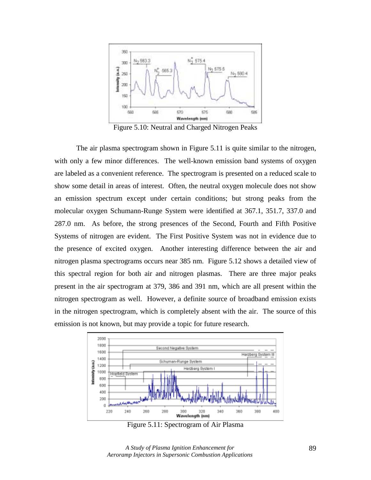

Figure 5.10: Neutral and Charged Nitrogen Peaks

 The air plasma spectrogram shown in Figure 5.11 is quite similar to the nitrogen, with only a few minor differences. The well-known emission band systems of oxygen are labeled as a convenient reference. The spectrogram is presented on a reduced scale to show some detail in areas of interest. Often, the neutral oxygen molecule does not show an emission spectrum except under certain conditions; but strong peaks from the molecular oxygen Schumann-Runge System were identified at 367.1, 351.7, 337.0 and 287.0 nm. As before, the strong presences of the Second, Fourth and Fifth Positive Systems of nitrogen are evident. The First Positive System was not in evidence due to the presence of excited oxygen. Another interesting difference between the air and nitrogen plasma spectrograms occurs near 385 nm. Figure 5.12 shows a detailed view of this spectral region for both air and nitrogen plasmas. There are three major peaks present in the air spectrogram at 379, 386 and 391 nm, which are all present within the nitrogen spectrogram as well. However, a definite source of broadband emission exists in the nitrogen spectrogram, which is completely absent with the air. The source of this emission is not known, but may provide a topic for future research.



Figure 5.11: Spectrogram of Air Plasma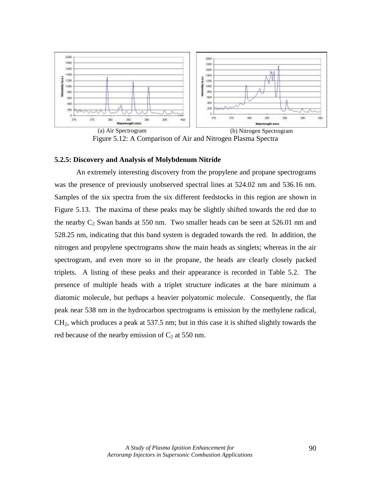

(a) Air Spectrogram (b) Nitrogen Spectrogram Figure 5.12: A Comparison of Air and Nitrogen Plasma Spectra

## **5.2.5: Discovery and Analysis of Molybdenum Nitride**

An extremely interesting discovery from the propylene and propane spectrograms was the presence of previously unobserved spectral lines at 524.02 nm and 536.16 nm. Samples of the six spectra from the six different feedstocks in this region are shown in Figure 5.13. The maxima of these peaks may be slightly shifted towards the red due to the nearby  $C_2$  Swan bands at 550 nm. Two smaller heads can be seen at 526.01 nm and 528.25 nm, indicating that this band system is degraded towards the red. In addition, the nitrogen and propylene spectrograms show the main heads as singlets; whereas in the air spectrogram, and even more so in the propane, the heads are clearly closely packed triplets. A listing of these peaks and their appearance is recorded in Table 5.2. The presence of multiple heads with a triplet structure indicates at the bare minimum a diatomic molecule, but perhaps a heavier polyatomic molecule. Consequently, the flat peak near 538 nm in the hydrocarbon spectrograms is emission by the methylene radical,  $CH<sub>2</sub>$ , which produces a peak at 537.5 nm; but in this case it is shifted slightly towards the red because of the nearby emission of  $C_2$  at 550 nm.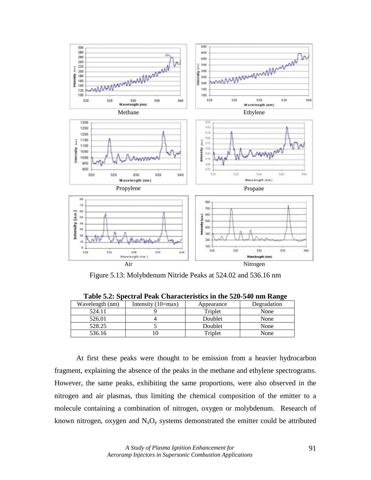

Figure 5.13: Molybdenum Nitride Peaks at 524.02 and 536.16 nm

| Wavelength (nm) | Intensity $(10=max)$ | Appearance | Degradation |  |  |  |
|-----------------|----------------------|------------|-------------|--|--|--|
| 524.11          |                      | Triplet    | None        |  |  |  |
| 526.01          |                      | Doublet    | None        |  |  |  |
| 528.25          |                      | Doublet    | None        |  |  |  |
| 536.16          |                      | Triplet    | None        |  |  |  |

**Table 5.2: Spectral Peak Characteristics in the 520-540 nm Range** 

At first these peaks were thought to be emission from a heavier hydrocarbon fragment, explaining the absence of the peaks in the methane and ethylene spectrograms. However, the same peaks, exhibiting the same proportions, were also observed in the nitrogen and air plasmas, thus limiting the chemical composition of the emitter to a molecule containing a combination of nitrogen, oxygen or molybdenum. Research of known nitrogen, oxygen and  $N_xO_y$  systems demonstrated the emitter could be attributed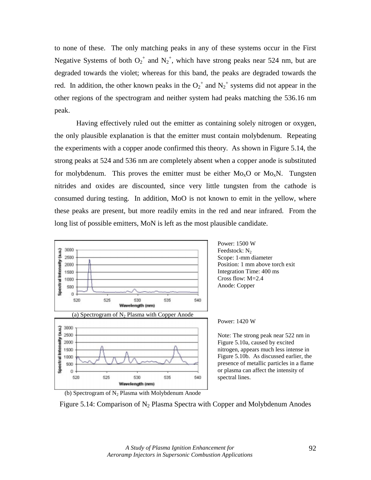to none of these. The only matching peaks in any of these systems occur in the First Negative Systems of both  $O_2^+$  and  $N_2^+$ , which have strong peaks near 524 nm, but are degraded towards the violet; whereas for this band, the peaks are degraded towards the red. In addition, the other known peaks in the  $O_2^+$  and  $N_2^+$  systems did not appear in the other regions of the spectrogram and neither system had peaks matching the 536.16 nm peak.

Having effectively ruled out the emitter as containing solely nitrogen or oxygen, the only plausible explanation is that the emitter must contain molybdenum. Repeating the experiments with a copper anode confirmed this theory. As shown in Figure 5.14, the strong peaks at 524 and 536 nm are completely absent when a copper anode is substituted for molybdenum. This proves the emitter must be either  $Mo_{x}O$  or  $Mo_{x}N$ . Tungsten nitrides and oxides are discounted, since very little tungsten from the cathode is consumed during testing. In addition, MoO is not known to emit in the yellow, where these peaks are present, but more readily emits in the red and near infrared. From the long list of possible emitters, MoN is left as the most plausible candidate.



Note: The strong peak near 522 nm in nitrogen, appears much less intense in Figure 5.10b. As discussed earlier, the presence of metallic particles in a flame or plasma can affect the intensity of



Figure 5.14: Comparison of  $N_2$  Plasma Spectra with Copper and Molybdenum Anodes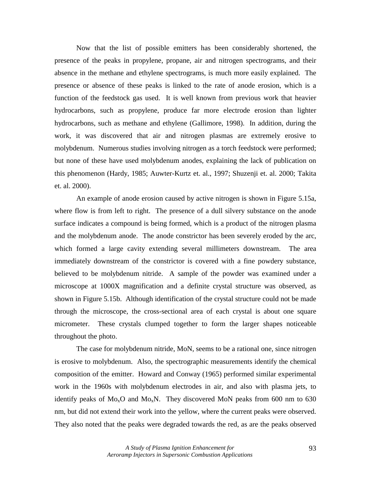Now that the list of possible emitters has been considerably shortened, the presence of the peaks in propylene, propane, air and nitrogen spectrograms, and their absence in the methane and ethylene spectrograms, is much more easily explained. The presence or absence of these peaks is linked to the rate of anode erosion, which is a function of the feedstock gas used. It is well known from previous work that heavier hydrocarbons, such as propylene, produce far more electrode erosion than lighter hydrocarbons, such as methane and ethylene (Gallimore, 1998). In addition, during the work, it was discovered that air and nitrogen plasmas are extremely erosive to molybdenum. Numerous studies involving nitrogen as a torch feedstock were performed; but none of these have used molybdenum anodes, explaining the lack of publication on this phenomenon (Hardy, 1985; Auwter-Kurtz et. al., 1997; Shuzenji et. al. 2000; Takita et. al. 2000).

An example of anode erosion caused by active nitrogen is shown in Figure 5.15a, where flow is from left to right. The presence of a dull silvery substance on the anode surface indicates a compound is being formed, which is a product of the nitrogen plasma and the molybdenum anode. The anode constrictor has been severely eroded by the arc, which formed a large cavity extending several millimeters downstream. The area immediately downstream of the constrictor is covered with a fine powdery substance, believed to be molybdenum nitride. A sample of the powder was examined under a microscope at 1000X magnification and a definite crystal structure was observed, as shown in Figure 5.15b. Although identification of the crystal structure could not be made through the microscope, the cross-sectional area of each crystal is about one square micrometer. These crystals clumped together to form the larger shapes noticeable throughout the photo.

The case for molybdenum nitride, MoN, seems to be a rational one, since nitrogen is erosive to molybdenum. Also, the spectrographic measurements identify the chemical composition of the emitter. Howard and Conway (1965) performed similar experimental work in the 1960s with molybdenum electrodes in air, and also with plasma jets, to identify peaks of  $Mo_{x}O$  and  $Mo_{x}N$ . They discovered MoN peaks from 600 nm to 630 nm, but did not extend their work into the yellow, where the current peaks were observed. They also noted that the peaks were degraded towards the red, as are the peaks observed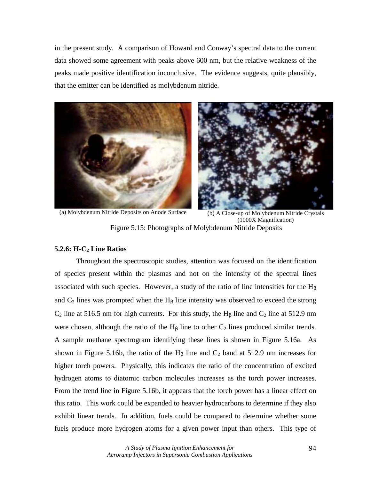in the present study. A comparison of Howard and Conway's spectral data to the current data showed some agreement with peaks above 600 nm, but the relative weakness of the peaks made positive identification inconclusive. The evidence suggests, quite plausibly, that the emitter can be identified as molybdenum nitride.





(a) Molybdenum Nitride Deposits on Anode Surface (b) A Close-up of Molybdenum Nitride Crystals (1000X Magnification) Figure 5.15: Photographs of Molybdenum Nitride Deposits

# **5.2.6: H-C<sub>2</sub> Line Ratios**

Throughout the spectroscopic studies, attention was focused on the identification of species present within the plasmas and not on the intensity of the spectral lines associated with such species. However, a study of the ratio of line intensities for the  $H<sub>β</sub>$ and  $C_2$  lines was prompted when the H<sub>β</sub> line intensity was observed to exceed the strong  $C_2$  line at 516.5 nm for high currents. For this study, the H<sub>β</sub> line and  $C_2$  line at 512.9 nm were chosen, although the ratio of the  $H_B$  line to other  $C_2$  lines produced similar trends. A sample methane spectrogram identifying these lines is shown in Figure 5.16a. As shown in Figure 5.16b, the ratio of the H<sub>β</sub> line and  $C_2$  band at 512.9 nm increases for higher torch powers. Physically, this indicates the ratio of the concentration of excited hydrogen atoms to diatomic carbon molecules increases as the torch power increases. From the trend line in Figure 5.16b, it appears that the torch power has a linear effect on this ratio. This work could be expanded to heavier hydrocarbons to determine if they also exhibit linear trends. In addition, fuels could be compared to determine whether some fuels produce more hydrogen atoms for a given power input than others. This type of